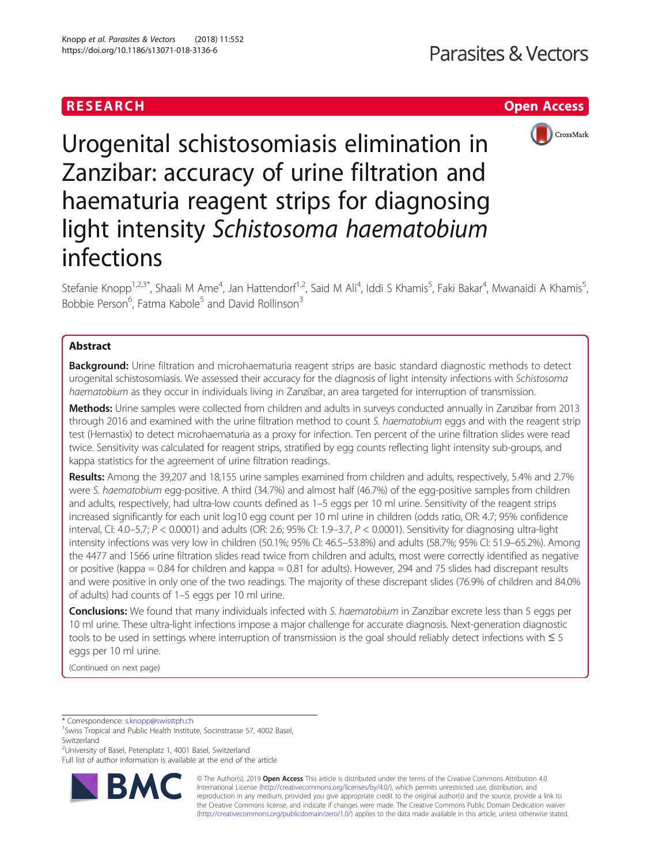# RESEARCH **RESEARCH CHOOSE INTERNATIONAL CONTRACT CONTRACT OF ACCESS**



Urogenital schistosomiasis elimination in Zanzibar: accuracy of urine filtration and haematuria reagent strips for diagnosing light intensity Schistosoma haematobium infections

Stefanie Knopp<sup>1,2,3\*</sup>, Shaali M Ame<sup>4</sup>, Jan Hattendorf<sup>1,2</sup>, Said M Ali<sup>4</sup>, Iddi S Khamis<sup>5</sup>, Faki Bakar<sup>4</sup>, Mwanaidi A Khamis<sup>5</sup> , Bobbie Person<sup>6</sup>, Fatma Kabole<sup>5</sup> and David Rollinson<sup>3</sup>

# Abstract

**Background:** Urine filtration and microhaematuria reagent strips are basic standard diagnostic methods to detect urogenital schistosomiasis. We assessed their accuracy for the diagnosis of light intensity infections with Schistosoma haematobium as they occur in individuals living in Zanzibar, an area targeted for interruption of transmission.

Methods: Urine samples were collected from children and adults in surveys conducted annually in Zanzibar from 2013 through 2016 and examined with the urine filtration method to count S. haematobium eggs and with the reagent strip test (Hemastix) to detect microhaematuria as a proxy for infection. Ten percent of the urine filtration slides were read twice. Sensitivity was calculated for reagent strips, stratified by egg counts reflecting light intensity sub-groups, and kappa statistics for the agreement of urine filtration readings.

Results: Among the 39,207 and 18,155 urine samples examined from children and adults, respectively, 5.4% and 2.7% were S. haematobium egg-positive. A third (34.7%) and almost half (46.7%) of the egg-positive samples from children and adults, respectively, had ultra-low counts defined as 1–5 eggs per 10 ml urine. Sensitivity of the reagent strips increased significantly for each unit log10 egg count per 10 ml urine in children (odds ratio, OR: 4.7; 95% confidence interval, CI: 4.0–5.7;  $P < 0.0001$ ) and adults (OR: 2.6; 95% CI: 1.9–3.7,  $P < 0.0001$ ). Sensitivity for diagnosing ultra-light intensity infections was very low in children (50.1%; 95% CI: 46.5–53.8%) and adults (58.7%; 95% CI: 51.9–65.2%). Among the 4477 and 1566 urine filtration slides read twice from children and adults, most were correctly identified as negative or positive (kappa = 0.84 for children and kappa = 0.81 for adults). However, 294 and 75 slides had discrepant results and were positive in only one of the two readings. The majority of these discrepant slides (76.9% of children and 84.0% of adults) had counts of 1–5 eggs per 10 ml urine.

**Conclusions:** We found that many individuals infected with S. haematobium in Zanzibar excrete less than 5 eggs per 10 ml urine. These ultra-light infections impose a major challenge for accurate diagnosis. Next-generation diagnostic tools to be used in settings where interruption of transmission is the goal should reliably detect infections with ≤ 5 eggs per 10 ml urine.

(Continued on next page)

\* Correspondence: [s.knopp@swisstph.ch](mailto:s.knopp@swisstph.ch) <sup>1</sup>

<sup>2</sup>University of Basel, Petersplatz 1, 4001 Basel, Switzerland

Full list of author information is available at the end of the article



© The Author(s). 2019 Open Access This article is distributed under the terms of the Creative Commons Attribution 4.0 International License [\(http://creativecommons.org/licenses/by/4.0/](http://creativecommons.org/licenses/by/4.0/)), which permits unrestricted use, distribution, and reproduction in any medium, provided you give appropriate credit to the original author(s) and the source, provide a link to the Creative Commons license, and indicate if changes were made. The Creative Commons Public Domain Dedication waiver [\(http://creativecommons.org/publicdomain/zero/1.0/](http://creativecommons.org/publicdomain/zero/1.0/)) applies to the data made available in this article, unless otherwise stated.

<sup>&</sup>lt;sup>1</sup> Swiss Tropical and Public Health Institute, Socinstrasse 57, 4002 Basel, Switzerland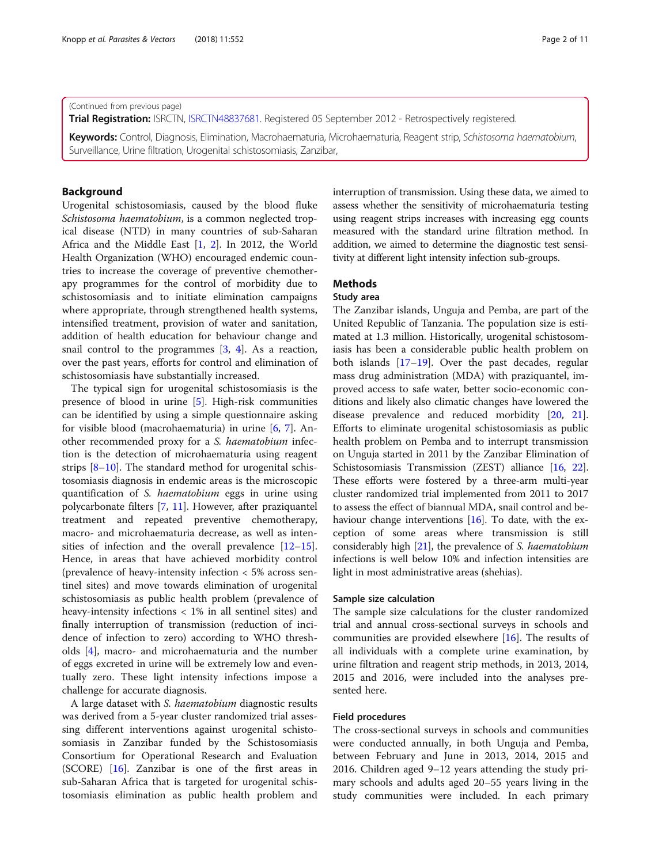(Continued from previous page)

Trial Registration: ISRCTN, [ISRCTN48837681.](http://www.isrctn.com/ISRCTN48837681) Registered 05 September 2012 - Retrospectively registered.

Keywords: Control, Diagnosis, Elimination, Macrohaematuria, Microhaematuria, Reagent strip, Schistosoma haematobium, Surveillance, Urine filtration, Urogenital schistosomiasis, Zanzibar,

## Background

Urogenital schistosomiasis, caused by the blood fluke Schistosoma haematobium, is a common neglected tropical disease (NTD) in many countries of sub-Saharan Africa and the Middle East [\[1](#page-10-0), [2\]](#page-10-0). In 2012, the World Health Organization (WHO) encouraged endemic countries to increase the coverage of preventive chemotherapy programmes for the control of morbidity due to schistosomiasis and to initiate elimination campaigns where appropriate, through strengthened health systems, intensified treatment, provision of water and sanitation, addition of health education for behaviour change and snail control to the programmes  $[3, 4]$  $[3, 4]$  $[3, 4]$  $[3, 4]$ . As a reaction, over the past years, efforts for control and elimination of schistosomiasis have substantially increased.

The typical sign for urogenital schistosomiasis is the presence of blood in urine [\[5](#page-10-0)]. High-risk communities can be identified by using a simple questionnaire asking for visible blood (macrohaematuria) in urine [[6,](#page-10-0) [7\]](#page-10-0). Another recommended proxy for a S. haematobium infection is the detection of microhaematuria using reagent strips [\[8](#page-10-0)–[10](#page-10-0)]. The standard method for urogenital schistosomiasis diagnosis in endemic areas is the microscopic quantification of S. haematobium eggs in urine using polycarbonate filters [\[7](#page-10-0), [11\]](#page-10-0). However, after praziquantel treatment and repeated preventive chemotherapy, macro- and microhaematuria decrease, as well as intensities of infection and the overall prevalence  $[12-15]$  $[12-15]$  $[12-15]$  $[12-15]$  $[12-15]$ . Hence, in areas that have achieved morbidity control (prevalence of heavy-intensity infection < 5% across sentinel sites) and move towards elimination of urogenital schistosomiasis as public health problem (prevalence of heavy-intensity infections < 1% in all sentinel sites) and finally interruption of transmission (reduction of incidence of infection to zero) according to WHO thresholds [[4\]](#page-10-0), macro- and microhaematuria and the number of eggs excreted in urine will be extremely low and eventually zero. These light intensity infections impose a challenge for accurate diagnosis.

A large dataset with S. haematobium diagnostic results was derived from a 5-year cluster randomized trial assessing different interventions against urogenital schistosomiasis in Zanzibar funded by the Schistosomiasis Consortium for Operational Research and Evaluation (SCORE) [\[16](#page-10-0)]. Zanzibar is one of the first areas in sub-Saharan Africa that is targeted for urogenital schistosomiasis elimination as public health problem and interruption of transmission. Using these data, we aimed to assess whether the sensitivity of microhaematuria testing using reagent strips increases with increasing egg counts

measured with the standard urine filtration method. In addition, we aimed to determine the diagnostic test sensi-

tivity at different light intensity infection sub-groups.

# **Methods**

# Study area

The Zanzibar islands, Unguja and Pemba, are part of the United Republic of Tanzania. The population size is estimated at 1.3 million. Historically, urogenital schistosomiasis has been a considerable public health problem on both islands [[17](#page-10-0)–[19](#page-10-0)]. Over the past decades, regular mass drug administration (MDA) with praziquantel, improved access to safe water, better socio-economic conditions and likely also climatic changes have lowered the disease prevalence and reduced morbidity [\[20,](#page-10-0) [21](#page-10-0)]. Efforts to eliminate urogenital schistosomiasis as public health problem on Pemba and to interrupt transmission on Unguja started in 2011 by the Zanzibar Elimination of Schistosomiasis Transmission (ZEST) alliance [\[16,](#page-10-0) [22](#page-10-0)]. These efforts were fostered by a three-arm multi-year cluster randomized trial implemented from 2011 to 2017 to assess the effect of biannual MDA, snail control and be-haviour change interventions [[16](#page-10-0)]. To date, with the exception of some areas where transmission is still considerably high  $[21]$  $[21]$ , the prevalence of S. haematobium infections is well below 10% and infection intensities are light in most administrative areas (shehias).

### Sample size calculation

The sample size calculations for the cluster randomized trial and annual cross-sectional surveys in schools and communities are provided elsewhere [[16](#page-10-0)]. The results of all individuals with a complete urine examination, by urine filtration and reagent strip methods, in 2013, 2014, 2015 and 2016, were included into the analyses presented here.

### Field procedures

The cross-sectional surveys in schools and communities were conducted annually, in both Unguja and Pemba, between February and June in 2013, 2014, 2015 and 2016. Children aged 9–12 years attending the study primary schools and adults aged 20–55 years living in the study communities were included. In each primary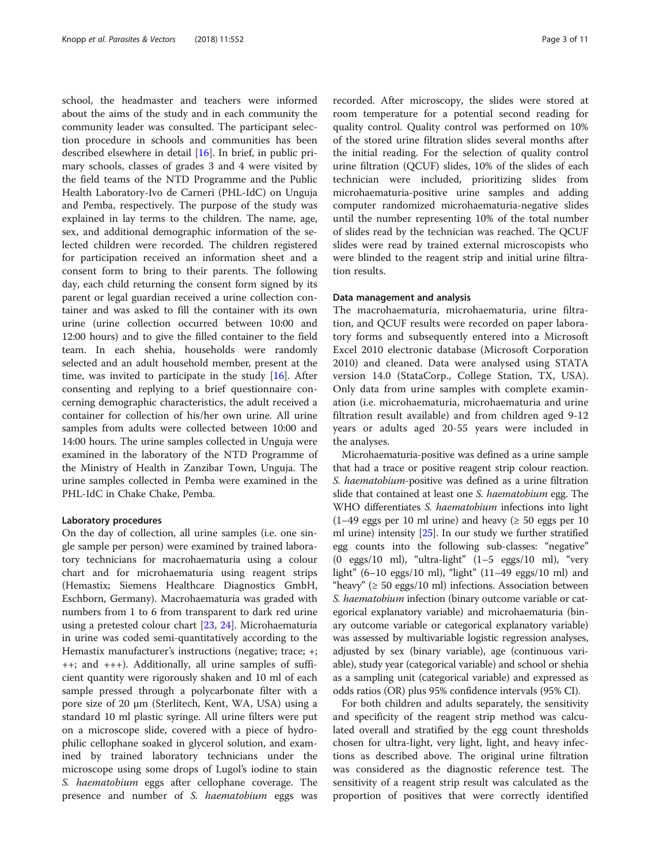school, the headmaster and teachers were informed about the aims of the study and in each community the community leader was consulted. The participant selection procedure in schools and communities has been described elsewhere in detail [[16](#page-10-0)]. In brief, in public primary schools, classes of grades 3 and 4 were visited by the field teams of the NTD Programme and the Public Health Laboratory-Ivo de Carneri (PHL-IdC) on Unguja and Pemba, respectively. The purpose of the study was explained in lay terms to the children. The name, age, sex, and additional demographic information of the selected children were recorded. The children registered for participation received an information sheet and a consent form to bring to their parents. The following day, each child returning the consent form signed by its parent or legal guardian received a urine collection container and was asked to fill the container with its own urine (urine collection occurred between 10:00 and 12:00 hours) and to give the filled container to the field team. In each shehia, households were randomly selected and an adult household member, present at the time, was invited to participate in the study  $[16]$  $[16]$ . After consenting and replying to a brief questionnaire concerning demographic characteristics, the adult received a container for collection of his/her own urine. All urine samples from adults were collected between 10:00 and 14:00 hours. The urine samples collected in Unguja were examined in the laboratory of the NTD Programme of the Ministry of Health in Zanzibar Town, Unguja. The urine samples collected in Pemba were examined in the PHL-IdC in Chake Chake, Pemba.

### Laboratory procedures

On the day of collection, all urine samples (i.e. one single sample per person) were examined by trained laboratory technicians for macrohaematuria using a colour chart and for microhaematuria using reagent strips (Hemastix; Siemens Healthcare Diagnostics GmbH, Eschborn, Germany). Macrohaematuria was graded with numbers from 1 to 6 from transparent to dark red urine using a pretested colour chart [\[23](#page-10-0), [24](#page-10-0)]. Microhaematuria in urine was coded semi-quantitatively according to the Hemastix manufacturer's instructions (negative; trace; +;  $++$ ; and  $++$ ). Additionally, all urine samples of sufficient quantity were rigorously shaken and 10 ml of each sample pressed through a polycarbonate filter with a pore size of 20 μm (Sterlitech, Kent, WA, USA) using a standard 10 ml plastic syringe. All urine filters were put on a microscope slide, covered with a piece of hydrophilic cellophane soaked in glycerol solution, and examined by trained laboratory technicians under the microscope using some drops of Lugol's iodine to stain S. haematobium eggs after cellophane coverage. The presence and number of S. haematobium eggs was recorded. After microscopy, the slides were stored at room temperature for a potential second reading for quality control. Quality control was performed on 10% of the stored urine filtration slides several months after the initial reading. For the selection of quality control urine filtration (QCUF) slides, 10% of the slides of each technician were included, prioritizing slides from microhaematuria-positive urine samples and adding computer randomized microhaematuria-negative slides until the number representing 10% of the total number of slides read by the technician was reached. The QCUF slides were read by trained external microscopists who were blinded to the reagent strip and initial urine filtration results.

### Data management and analysis

The macrohaematuria, microhaematuria, urine filtration, and QCUF results were recorded on paper laboratory forms and subsequently entered into a Microsoft Excel 2010 electronic database (Microsoft Corporation 2010) and cleaned. Data were analysed using STATA version 14.0 (StataCorp., College Station, TX, USA). Only data from urine samples with complete examination (i.e. microhaematuria, microhaematuria and urine filtration result available) and from children aged 9-12 years or adults aged 20-55 years were included in the analyses.

Microhaematuria-positive was defined as a urine sample that had a trace or positive reagent strip colour reaction. S. haematobium-positive was defined as a urine filtration slide that contained at least one S. haematobium egg. The WHO differentiates S. haematobium infections into light  $(1-49$  eggs per 10 ml urine) and heavy ( $\geq 50$  eggs per 10 ml urine) intensity [\[25\]](#page-10-0). In our study we further stratified egg counts into the following sub-classes: "negative" (0 eggs/10 ml), "ultra-light" (1–5 eggs/10 ml), "very light" (6–10 eggs/10 ml), "light" (11–49 eggs/10 ml) and "heavy" ( $\geq 50$  eggs/10 ml) infections. Association between S. haematobium infection (binary outcome variable or categorical explanatory variable) and microhaematuria (binary outcome variable or categorical explanatory variable) was assessed by multivariable logistic regression analyses, adjusted by sex (binary variable), age (continuous variable), study year (categorical variable) and school or shehia as a sampling unit (categorical variable) and expressed as odds ratios (OR) plus 95% confidence intervals (95% CI).

For both children and adults separately, the sensitivity and specificity of the reagent strip method was calculated overall and stratified by the egg count thresholds chosen for ultra-light, very light, light, and heavy infections as described above. The original urine filtration was considered as the diagnostic reference test. The sensitivity of a reagent strip result was calculated as the proportion of positives that were correctly identified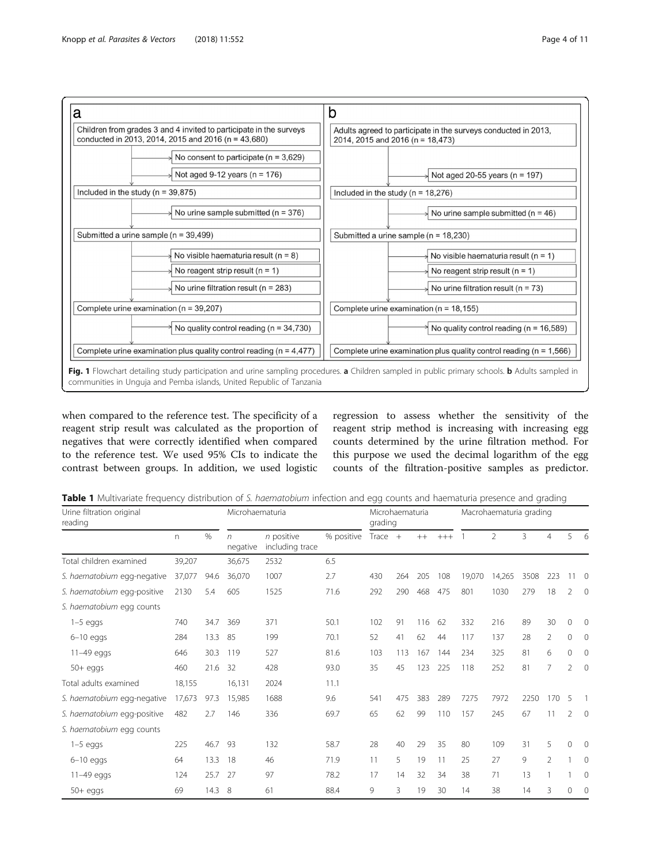<span id="page-3-0"></span>

when compared to the reference test. The specificity of a reagent strip result was calculated as the proportion of negatives that were correctly identified when compared to the reference test. We used 95% CIs to indicate the contrast between groups. In addition, we used logistic

regression to assess whether the sensitivity of the reagent strip method is increasing with increasing egg counts determined by the urine filtration method. For this purpose we used the decimal logarithm of the egg counts of the filtration-positive samples as predictor.

Table 1 Multivariate frequency distribution of S. haematobium infection and egg counts and haematuria presence and grading

| Urine filtration original<br>reading |          | Microhaematuria |                        | Microhaematuria<br>grading      |            |           | Macrohaematuria grading |      |       |        |                |      |                |                |                |
|--------------------------------------|----------|-----------------|------------------------|---------------------------------|------------|-----------|-------------------------|------|-------|--------|----------------|------|----------------|----------------|----------------|
|                                      | $\Gamma$ | %               | $\sqrt{n}$<br>negative | $n$ positive<br>including trace | % positive | Trace $+$ |                         | $++$ | $+++$ |        | $\overline{2}$ | 3    | $\overline{4}$ | 5              | 6              |
| Total children examined              | 39,207   |                 | 36,675                 | 2532                            | 6.5        |           |                         |      |       |        |                |      |                |                |                |
| S. haematobium egg-negative          | 37,077   | 94.6            | 36,070                 | 1007                            | 2.7        | 430       | 264                     | 205  | 108   | 19,070 | 14,265         | 3508 | 223            | $11 \quad 0$   |                |
| S. haematobium egg-positive          | 2130     | 5.4             | 605                    | 1525                            | 71.6       | 292       | 290                     | 468  | 475   | 801    | 1030           | 279  | 18             | 2              | $\overline{0}$ |
| S. haematobium egg counts            |          |                 |                        |                                 |            |           |                         |      |       |        |                |      |                |                |                |
| $1-5$ eggs                           | 740      | 34.7            | 369                    | 371                             | 50.1       | 102       | 91                      | 116  | 62    | 332    | 216            | 89   | 30             | $\mathbf{0}$   | $\circ$        |
| $6-10$ eggs                          | 284      | 13.3            | 85                     | 199                             | 70.1       | 52        | 41                      | 62   | 44    | 117    | 137            | 28   | $\mathcal{P}$  | 0              | 0              |
| 11-49 eggs                           | 646      | 30.3            | 119                    | 527                             | 81.6       | 103       | 113                     | 167  | 144   | 234    | 325            | 81   | 6              | $\mathbf{0}$   | $\mathbf 0$    |
| $50+$ eggs                           | 460      | 21.6            | 32                     | 428                             | 93.0       | 35        | 45                      | 123  | 225   | 118    | 252            | 81   | 7              | $\overline{2}$ | $\mathbf{0}$   |
| Total adults examined                | 18,155   |                 | 16,131                 | 2024                            | 11.1       |           |                         |      |       |        |                |      |                |                |                |
| S. haematobium egg-negative          | 17,673   | 97.3            | 15,985                 | 1688                            | 9.6        | 541       | 475                     | 383  | 289   | 7275   | 7972           | 2250 | 170            | 5              |                |
| S. haematobium egg-positive          | 482      | 2.7             | 146                    | 336                             | 69.7       | 65        | 62                      | 99   | 110   | 157    | 245            | 67   | 11             | 2              | $\overline{0}$ |
| S. haematobium egg counts            |          |                 |                        |                                 |            |           |                         |      |       |        |                |      |                |                |                |
| $1-5$ eggs                           | 225      | 46.7            | 93                     | 132                             | 58.7       | 28        | 40                      | 29   | 35    | 80     | 109            | 31   | 5              | $\Omega$       | $\Omega$       |
| $6-10$ eggs                          | 64       | 13.3            | 18                     | 46                              | 71.9       | 11        | 5                       | 19   | 11    | 25     | 27             | 9    | $\overline{2}$ |                | $\mathbf 0$    |
| 11-49 eggs                           | 124      | 25.7            | 27                     | 97                              | 78.2       | 17        | 14                      | 32   | 34    | 38     | 71             | 13   |                |                | $\mathbf 0$    |
| $50 + eggs$                          | 69       | 14.3            | 8                      | 61                              | 88.4       | 9         | 3                       | 19   | 30    | 14     | 38             | 14   | 3              | $\Omega$       | $\mathbf 0$    |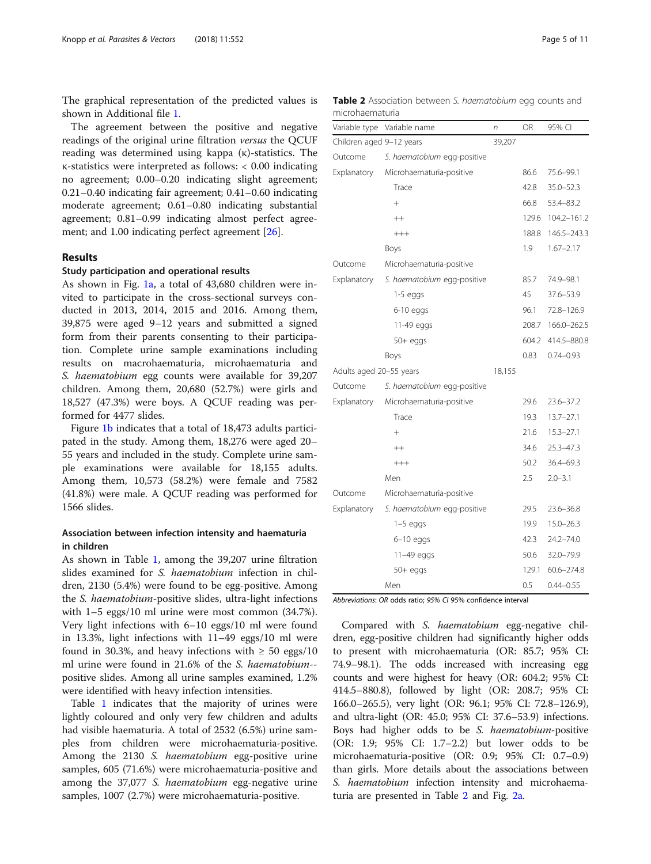<span id="page-4-0"></span>The graphical representation of the predicted values is shown in Additional file [1](#page-9-0).

The agreement between the positive and negative readings of the original urine filtration versus the QCUF reading was determined using kappa (κ)-statistics. The κ-statistics were interpreted as follows: < 0.00 indicating no agreement; 0.00–0.20 indicating slight agreement; 0.21–0.40 indicating fair agreement; 0.41–0.60 indicating moderate agreement; 0.61–0.80 indicating substantial agreement; 0.81–0.99 indicating almost perfect agree-ment; and 1.00 indicating perfect agreement [\[26\]](#page-10-0).

### Results

### Study participation and operational results

As shown in Fig. [1a,](#page-3-0) a total of 43,680 children were invited to participate in the cross-sectional surveys conducted in 2013, 2014, 2015 and 2016. Among them, 39,875 were aged 9–12 years and submitted a signed form from their parents consenting to their participation. Complete urine sample examinations including results on macrohaematuria, microhaematuria and S. haematobium egg counts were available for 39,207 children. Among them, 20,680 (52.7%) were girls and 18,527 (47.3%) were boys. A QCUF reading was performed for 4477 slides.

Figure [1b](#page-3-0) indicates that a total of 18,473 adults participated in the study. Among them, 18,276 were aged 20– 55 years and included in the study. Complete urine sample examinations were available for 18,155 adults. Among them, 10,573 (58.2%) were female and 7582 (41.8%) were male. A QCUF reading was performed for 1566 slides.

## Association between infection intensity and haematuria in children

As shown in Table [1,](#page-3-0) among the 39,207 urine filtration slides examined for S. haematobium infection in children, 2130 (5.4%) were found to be egg-positive. Among the S. haematobium-positive slides, ultra-light infections with 1–5 eggs/10 ml urine were most common (34.7%). Very light infections with 6–10 eggs/10 ml were found in 13.3%, light infections with 11–49 eggs/10 ml were found in 30.3%, and heavy infections with  $\geq$  50 eggs/10 ml urine were found in 21.6% of the S. haematobium- positive slides. Among all urine samples examined, 1.2% were identified with heavy infection intensities.

Table [1](#page-3-0) indicates that the majority of urines were lightly coloured and only very few children and adults had visible haematuria. A total of 2532 (6.5%) urine samples from children were microhaematuria-positive. Among the 2130 S. haematobium egg-positive urine samples, 605 (71.6%) were microhaematuria-positive and among the 37,077 *S. haematobium* egg-negative urine samples, 1007 (2.7%) were microhaematuria-positive.

Table 2 Association between S. haematobium egg counts and microhaematuria

| Variable type            | Variable name               | n      | <b>OR</b> | 95% CI         |
|--------------------------|-----------------------------|--------|-----------|----------------|
| Children aged 9-12 years |                             | 39,207 |           |                |
| Outcome                  | S. haematobium egg-positive |        |           |                |
| Explanatory              | Microhaematuria-positive    |        | 86.6      | 75.6-99.1      |
|                          | Trace                       |        | 42.8      | $35.0 - 52.3$  |
|                          | $^{+}$                      |        | 66.8      | 53.4-83.2      |
|                          | $++$                        |        | 129.6     | 104.2-161.2    |
|                          | $+++$                       |        | 188.8     | 146.5-243.3    |
|                          | Boys                        |        | 1.9       | $1.67 - 2.17$  |
| Outcome                  | Microhaematuria-positive    |        |           |                |
| Explanatory              | S. haematobium egg-positive |        | 85.7      | 74.9-98.1      |
|                          | $1-5$ eggs                  |        | 45        | 37.6-53.9      |
|                          | $6-10$ eggs                 |        | 96.1      | 72.8-126.9     |
|                          | 11-49 eggs                  |        | 208.7     | 166.0-262.5    |
|                          | $50+$ eggs                  |        | 604.2     | 414.5-880.8    |
|                          | Boys                        |        | 0.83      | $0.74 - 0.93$  |
| Adults aged 20-55 years  |                             | 18,155 |           |                |
| Outcome                  | S. haematobium egg-positive |        |           |                |
| Explanatory              | Microhaematuria-positive    |        | 29.6      | 23.6-37.2      |
|                          | Trace                       |        | 19.3      | $13.7 - 27.1$  |
|                          | $^{+}$                      |        | 21.6      | $15.3 - 27.1$  |
|                          | $++$                        |        | 34.6      | $25.3 - 47.3$  |
|                          | $^{+++}$                    |        | 50.2      | 36.4-69.3      |
|                          | Men                         |        | 2.5       | $2.0 - 3.1$    |
| Outcome                  | Microhaematuria-positive    |        |           |                |
| Explanatory              | S. haematobium egg-positive |        | 29.5      | $23.6 - 36.8$  |
|                          | $1-5$ eggs                  |        | 19.9      | $15.0 - 26.3$  |
|                          | $6 - 10$ eggs               |        | 42.3      | 24.2-74.0      |
|                          | 11-49 eggs                  |        | 50.6      | 32.0-79.9      |
|                          | $50+$ eggs                  |        | 129.1     | $60.6 - 274.8$ |
|                          | Men                         |        | 0.5       | $0.44 - 0.55$  |

Abbreviations: OR odds ratio; 95% CI 95% confidence interval

Compared with S. haematobium egg-negative children, egg-positive children had significantly higher odds to present with microhaematuria (OR: 85.7; 95% CI: 74.9–98.1). The odds increased with increasing egg counts and were highest for heavy (OR: 604.2; 95% CI: 414.5–880.8), followed by light (OR: 208.7; 95% CI: 166.0–265.5), very light (OR: 96.1; 95% CI: 72.8–126.9), and ultra-light (OR: 45.0; 95% CI: 37.6–53.9) infections. Boys had higher odds to be S. *haematobium*-positive (OR: 1.9; 95% CI: 1.7–2.2) but lower odds to be microhaematuria-positive (OR: 0.9; 95% CI: 0.7–0.9) than girls. More details about the associations between S. *haematobium* infection intensity and microhaematuria are presented in Table 2 and Fig. [2a](#page-5-0).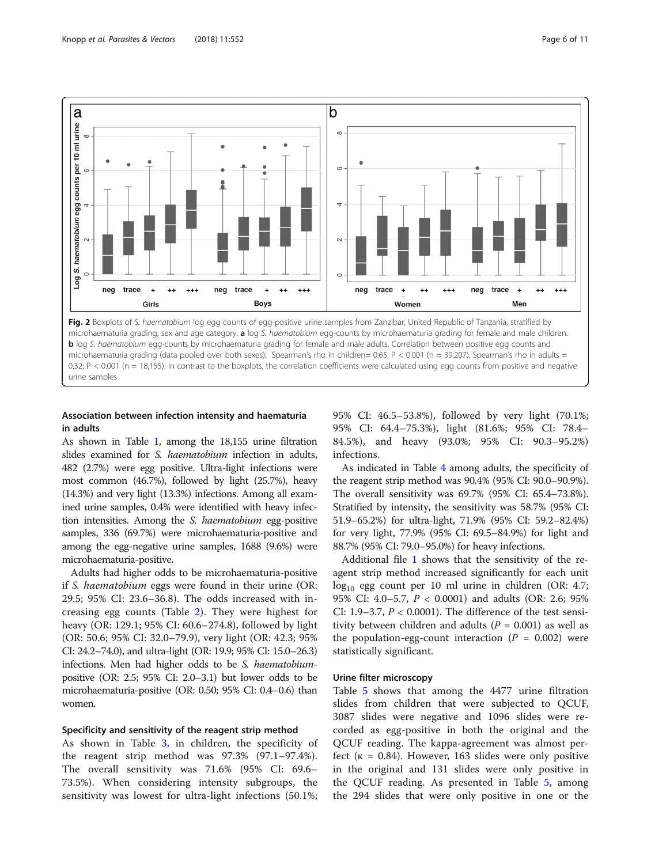<span id="page-5-0"></span>

# Association between infection intensity and haematuria in adults

As shown in Table [1](#page-3-0), among the 18,155 urine filtration slides examined for *S. haematobium* infection in adults, 482 (2.7%) were egg positive. Ultra-light infections were most common (46.7%), followed by light (25.7%), heavy (14.3%) and very light (13.3%) infections. Among all examined urine samples, 0.4% were identified with heavy infection intensities. Among the S. haematobium egg-positive samples, 336 (69.7%) were microhaematuria-positive and among the egg-negative urine samples, 1688 (9.6%) were microhaematuria-positive.

Adults had higher odds to be microhaematuria-positive if S. haematobium eggs were found in their urine (OR: 29.5; 95% CI: 23.6–36.8). The odds increased with increasing egg counts (Table [2](#page-4-0)). They were highest for heavy (OR: 129.1; 95% CI: 60.6–274.8), followed by light (OR: 50.6; 95% CI: 32.0–79.9), very light (OR: 42.3; 95% CI: 24.2–74.0), and ultra-light (OR: 19.9; 95% CI: 15.0–26.3) infections. Men had higher odds to be S. haematobiumpositive (OR: 2.5; 95% CI: 2.0–3.1) but lower odds to be microhaematuria-positive (OR: 0.50; 95% CI: 0.4–0.6) than women.

### Specificity and sensitivity of the reagent strip method

As shown in Table [3,](#page-6-0) in children, the specificity of the reagent strip method was 97.3% (97.1–97.4%). The overall sensitivity was 71.6% (95% CI: 69.6– 73.5%). When considering intensity subgroups, the sensitivity was lowest for ultra-light infections (50.1%; 95% CI: 46.5–53.8%), followed by very light (70.1%; 95% CI: 64.4–75.3%), light (81.6%; 95% CI: 78.4– 84.5%), and heavy (93.0%; 95% CI: 90.3–95.2%) infections.

As indicated in Table [4](#page-7-0) among adults, the specificity of the reagent strip method was 90.4% (95% CI: 90.0–90.9%). The overall sensitivity was 69.7% (95% CI: 65.4–73.8%). Stratified by intensity, the sensitivity was 58.7% (95% CI: 51.9–65.2%) for ultra-light, 71.9% (95% CI: 59.2–82.4%) for very light, 77.9% (95% CI: 69.5–84.9%) for light and 88.7% (95% CI: 79.0–95.0%) for heavy infections.

Additional file [1](#page-9-0) shows that the sensitivity of the reagent strip method increased significantly for each unit  $log_{10}$  egg count per 10 ml urine in children (OR: 4.7; 95% CI: 4.0–5.7, P < 0.0001) and adults (OR: 2.6; 95% CI: 1.9–3.7,  $P < 0.0001$ ). The difference of the test sensitivity between children and adults ( $P = 0.001$ ) as well as the population-egg-count interaction ( $P = 0.002$ ) were statistically significant.

### Urine filter microscopy

Table [5](#page-8-0) shows that among the 4477 urine filtration slides from children that were subjected to QCUF, 3087 slides were negative and 1096 slides were recorded as egg-positive in both the original and the QCUF reading. The kappa-agreement was almost perfect ( $\kappa = 0.84$ ). However, 163 slides were only positive in the original and 131 slides were only positive in the QCUF reading. As presented in Table [5,](#page-8-0) among the 294 slides that were only positive in one or the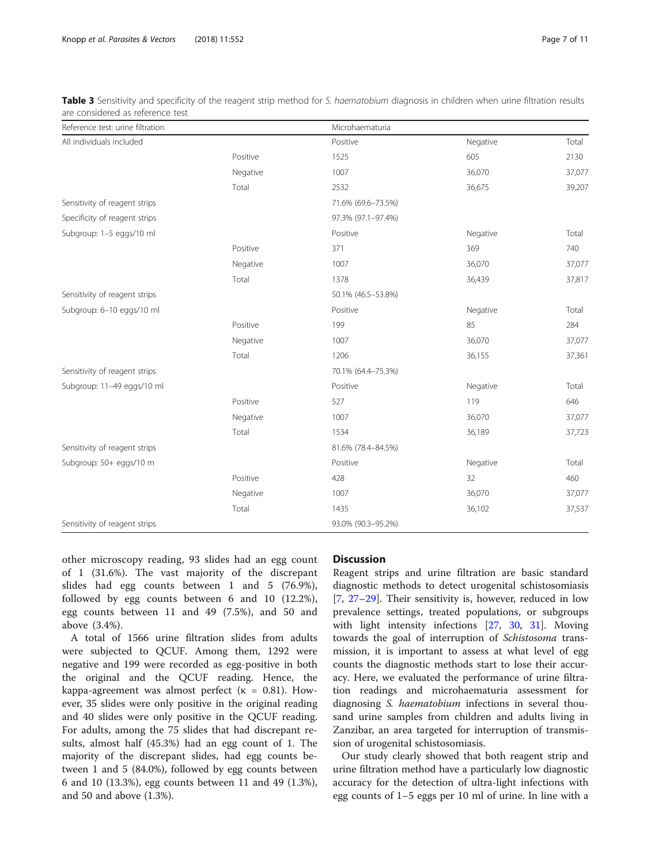| Reference test: urine filtration |          | Microhaematuria    |          |        |
|----------------------------------|----------|--------------------|----------|--------|
| All individuals included         |          | Positive           | Negative | Total  |
|                                  | Positive | 1525               | 605      | 2130   |
|                                  | Negative | 1007               | 36,070   | 37,077 |
|                                  | Total    | 2532               | 36,675   | 39,207 |
| Sensitivity of reagent strips    |          | 71.6% (69.6-73.5%) |          |        |
| Specificity of reagent strips    |          | 97.3% (97.1-97.4%) |          |        |
| Subgroup: 1-5 eggs/10 ml         |          | Positive           | Negative | Total  |
|                                  | Positive | 371                | 369      | 740    |
|                                  | Negative | 1007               | 36,070   | 37,077 |
|                                  | Total    | 1378               | 36,439   | 37,817 |
| Sensitivity of reagent strips    |          | 50.1% (46.5-53.8%) |          |        |
| Subgroup: 6-10 eggs/10 ml        |          | Positive           | Negative | Total  |
|                                  | Positive | 199                | 85       | 284    |
|                                  | Negative | 1007               | 36,070   | 37,077 |
|                                  | Total    | 1206               | 36,155   | 37,361 |
| Sensitivity of reagent strips    |          | 70.1% (64.4-75.3%) |          |        |
| Subgroup: 11-49 eggs/10 ml       |          | Positive           | Negative | Total  |
|                                  | Positive | 527                | 119      | 646    |
|                                  | Negative | 1007               | 36,070   | 37,077 |
|                                  | Total    | 1534               | 36,189   | 37,723 |
| Sensitivity of reagent strips    |          | 81.6% (78.4-84.5%) |          |        |
| Subgroup: 50+ eggs/10 m          |          | Positive           | Negative | Total  |
|                                  | Positive | 428                | 32       | 460    |
|                                  | Negative | 1007               | 36,070   | 37,077 |
|                                  | Total    | 1435               | 36,102   | 37,537 |
| Sensitivity of reagent strips    |          | 93.0% (90.3-95.2%) |          |        |

<span id="page-6-0"></span>Table 3 Sensitivity and specificity of the reagent strip method for S. haematobium diagnosis in children when urine filtration results are considered as reference test

other microscopy reading, 93 slides had an egg count of 1 (31.6%). The vast majority of the discrepant slides had egg counts between 1 and 5 (76.9%), followed by egg counts between 6 and 10 (12.2%), egg counts between 11 and 49 (7.5%), and 50 and above (3.4%).

A total of 1566 urine filtration slides from adults were subjected to QCUF. Among them, 1292 were negative and 199 were recorded as egg-positive in both the original and the QCUF reading. Hence, the kappa-agreement was almost perfect ( $\kappa = 0.81$ ). However, 35 slides were only positive in the original reading and 40 slides were only positive in the QCUF reading. For adults, among the 75 slides that had discrepant results, almost half (45.3%) had an egg count of 1. The majority of the discrepant slides, had egg counts between 1 and 5 (84.0%), followed by egg counts between 6 and 10 (13.3%), egg counts between 11 and 49 (1.3%), and 50 and above (1.3%).

### **Discussion**

Reagent strips and urine filtration are basic standard diagnostic methods to detect urogenital schistosomiasis [[7,](#page-10-0) [27](#page-10-0)–[29](#page-10-0)]. Their sensitivity is, however, reduced in low prevalence settings, treated populations, or subgroups with light intensity infections [[27,](#page-10-0) [30,](#page-10-0) [31\]](#page-10-0). Moving towards the goal of interruption of Schistosoma transmission, it is important to assess at what level of egg counts the diagnostic methods start to lose their accuracy. Here, we evaluated the performance of urine filtration readings and microhaematuria assessment for diagnosing *S. haematobium* infections in several thousand urine samples from children and adults living in Zanzibar, an area targeted for interruption of transmission of urogenital schistosomiasis.

Our study clearly showed that both reagent strip and urine filtration method have a particularly low diagnostic accuracy for the detection of ultra-light infections with egg counts of 1–5 eggs per 10 ml of urine. In line with a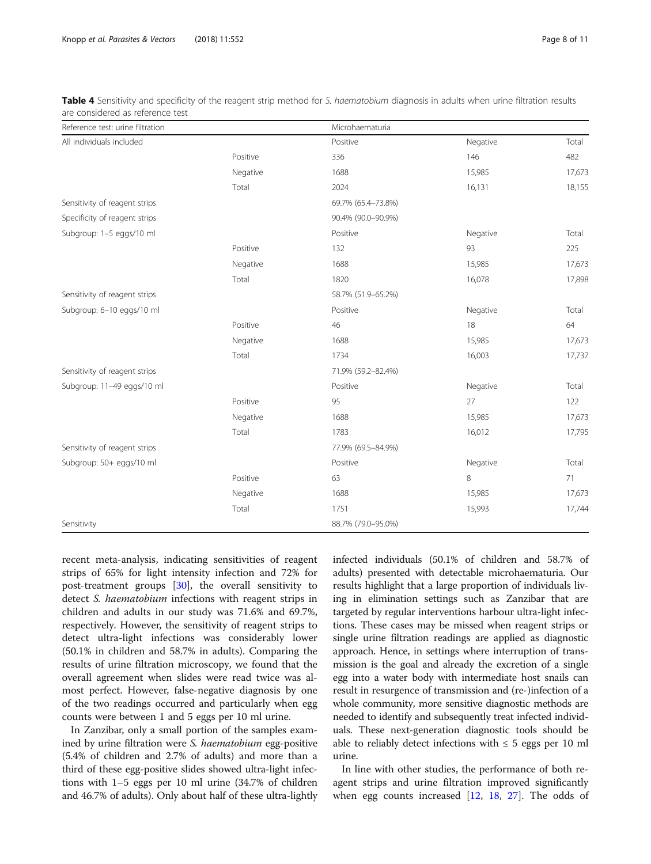| Reference test: urine filtration |          | Microhaematuria    |          |        |
|----------------------------------|----------|--------------------|----------|--------|
| All individuals included         |          | Positive           | Negative | Total  |
|                                  | Positive | 336                | 146      | 482    |
|                                  | Negative | 1688               | 15,985   | 17,673 |
|                                  | Total    | 2024               | 16,131   | 18,155 |
| Sensitivity of reagent strips    |          | 69.7% (65.4-73.8%) |          |        |
| Specificity of reagent strips    |          | 90.4% (90.0-90.9%) |          |        |
| Subgroup: 1-5 eggs/10 ml         |          | Positive           | Negative | Total  |
|                                  | Positive | 132                | 93       | 225    |
|                                  | Negative | 1688               | 15,985   | 17,673 |
|                                  | Total    | 1820               | 16,078   | 17,898 |
| Sensitivity of reagent strips    |          | 58.7% (51.9-65.2%) |          |        |
| Subgroup: 6-10 eggs/10 ml        |          | Positive           | Negative | Total  |
|                                  | Positive | 46                 | 18       | 64     |
|                                  | Negative | 1688               | 15,985   | 17,673 |
|                                  | Total    | 1734               | 16,003   | 17,737 |
| Sensitivity of reagent strips    |          | 71.9% (59.2-82.4%) |          |        |
| Subgroup: 11-49 eggs/10 ml       |          | Positive           | Negative | Total  |
|                                  | Positive | 95                 | 27       | 122    |
|                                  | Negative | 1688               | 15,985   | 17,673 |
|                                  | Total    | 1783               | 16,012   | 17,795 |
| Sensitivity of reagent strips    |          | 77.9% (69.5-84.9%) |          |        |
| Subgroup: 50+ eggs/10 ml         |          | Positive           | Negative | Total  |
|                                  | Positive | 63                 | 8        | 71     |
|                                  | Negative | 1688               | 15,985   | 17,673 |
|                                  | Total    | 1751               | 15,993   | 17,744 |
| Sensitivity                      |          | 88.7% (79.0-95.0%) |          |        |

<span id="page-7-0"></span>Table 4 Sensitivity and specificity of the reagent strip method for S. haematobium diagnosis in adults when urine filtration results are considered as reference test

recent meta-analysis, indicating sensitivities of reagent strips of 65% for light intensity infection and 72% for post-treatment groups [\[30\]](#page-10-0), the overall sensitivity to detect S. haematobium infections with reagent strips in children and adults in our study was 71.6% and 69.7%, respectively. However, the sensitivity of reagent strips to detect ultra-light infections was considerably lower (50.1% in children and 58.7% in adults). Comparing the results of urine filtration microscopy, we found that the overall agreement when slides were read twice was almost perfect. However, false-negative diagnosis by one of the two readings occurred and particularly when egg counts were between 1 and 5 eggs per 10 ml urine.

In Zanzibar, only a small portion of the samples examined by urine filtration were S. haematobium egg-positive (5.4% of children and 2.7% of adults) and more than a third of these egg-positive slides showed ultra-light infections with 1–5 eggs per 10 ml urine (34.7% of children and 46.7% of adults). Only about half of these ultra-lightly infected individuals (50.1% of children and 58.7% of adults) presented with detectable microhaematuria. Our results highlight that a large proportion of individuals living in elimination settings such as Zanzibar that are targeted by regular interventions harbour ultra-light infections. These cases may be missed when reagent strips or single urine filtration readings are applied as diagnostic approach. Hence, in settings where interruption of transmission is the goal and already the excretion of a single egg into a water body with intermediate host snails can result in resurgence of transmission and (re-)infection of a whole community, more sensitive diagnostic methods are needed to identify and subsequently treat infected individuals. These next-generation diagnostic tools should be able to reliably detect infections with  $\leq$  5 eggs per 10 ml urine.

In line with other studies, the performance of both reagent strips and urine filtration improved significantly when egg counts increased  $[12, 18, 27]$  $[12, 18, 27]$  $[12, 18, 27]$  $[12, 18, 27]$  $[12, 18, 27]$  $[12, 18, 27]$ . The odds of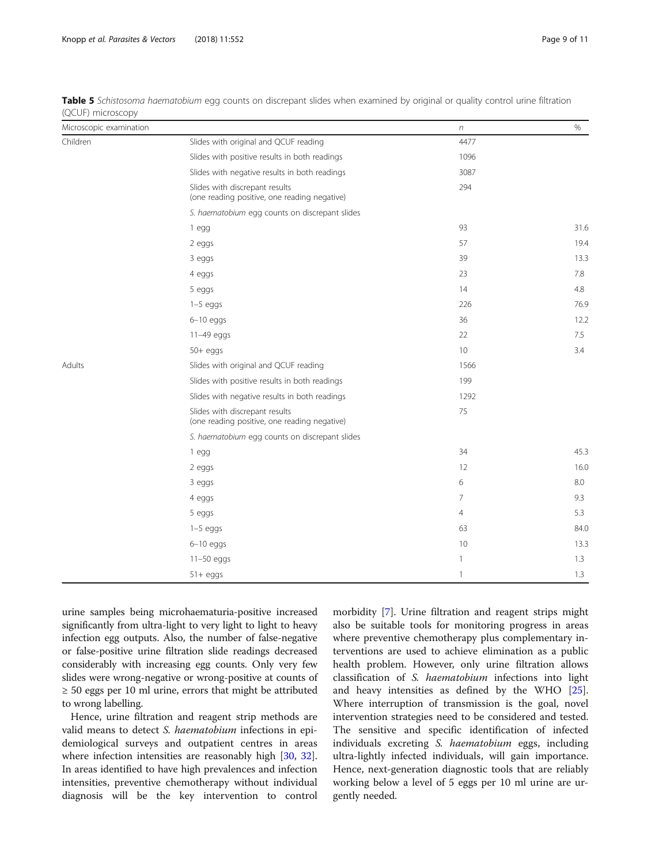| Microscopic examination |                                                                                | $\boldsymbol{n}$ | $\%$ |
|-------------------------|--------------------------------------------------------------------------------|------------------|------|
| Children                | Slides with original and QCUF reading                                          | 4477             |      |
|                         | Slides with positive results in both readings                                  | 1096             |      |
|                         | Slides with negative results in both readings                                  | 3087             |      |
|                         | Slides with discrepant results<br>(one reading positive, one reading negative) | 294              |      |
|                         | S. haematobium egg counts on discrepant slides                                 |                  |      |
|                         | 1 egg                                                                          | 93               | 31.6 |
|                         | 2 eggs                                                                         | 57               | 19.4 |
|                         | 3 eggs                                                                         | 39               | 13.3 |
|                         | 4 eggs                                                                         | 23               | 7.8  |
|                         | 5 eggs                                                                         | 14               | 4.8  |
|                         | $1-5$ eggs                                                                     | 226              | 76.9 |
|                         | $6 - 10$ eggs                                                                  | 36               | 12.2 |
|                         | 11-49 eggs                                                                     | 22               | 7.5  |
|                         | $50+$ eggs                                                                     | 10               | 3.4  |
| Adults                  | Slides with original and QCUF reading                                          | 1566             |      |
|                         | Slides with positive results in both readings                                  | 199              |      |
|                         | Slides with negative results in both readings                                  | 1292             |      |
|                         | Slides with discrepant results<br>(one reading positive, one reading negative) | 75               |      |
|                         | S. haematobium egg counts on discrepant slides                                 |                  |      |
|                         | 1 egg                                                                          | 34               | 45.3 |
|                         | 2 eggs                                                                         | 12               | 16.0 |
|                         | 3 eggs                                                                         | 6                | 8.0  |
|                         | 4 eggs                                                                         | 7                | 9.3  |
|                         | 5 eggs                                                                         | 4                | 5.3  |
|                         | $1-5$ eggs                                                                     | 63               | 84.0 |
|                         | $6-10$ eggs                                                                    | 10               | 13.3 |
|                         | $11-50$ eggs                                                                   | $\mathbf{1}$     | 1.3  |
|                         | $51 + eggs$                                                                    | $\mathbf{1}$     | 1.3  |

<span id="page-8-0"></span>Table 5 Schistosoma haematobium egg counts on discrepant slides when examined by original or quality control urine filtration (QCUF) microscopy

urine samples being microhaematuria-positive increased significantly from ultra-light to very light to light to heavy infection egg outputs. Also, the number of false-negative or false-positive urine filtration slide readings decreased considerably with increasing egg counts. Only very few slides were wrong-negative or wrong-positive at counts of  $\geq$  50 eggs per 10 ml urine, errors that might be attributed to wrong labelling.

Hence, urine filtration and reagent strip methods are valid means to detect S. haematobium infections in epidemiological surveys and outpatient centres in areas where infection intensities are reasonably high [\[30](#page-10-0), [32](#page-10-0)]. In areas identified to have high prevalences and infection intensities, preventive chemotherapy without individual diagnosis will be the key intervention to control

morbidity [\[7](#page-10-0)]. Urine filtration and reagent strips might also be suitable tools for monitoring progress in areas where preventive chemotherapy plus complementary interventions are used to achieve elimination as a public health problem. However, only urine filtration allows classification of S. haematobium infections into light and heavy intensities as defined by the WHO [\[25](#page-10-0)]. Where interruption of transmission is the goal, novel intervention strategies need to be considered and tested. The sensitive and specific identification of infected individuals excreting S. haematobium eggs, including ultra-lightly infected individuals, will gain importance. Hence, next-generation diagnostic tools that are reliably working below a level of 5 eggs per 10 ml urine are urgently needed.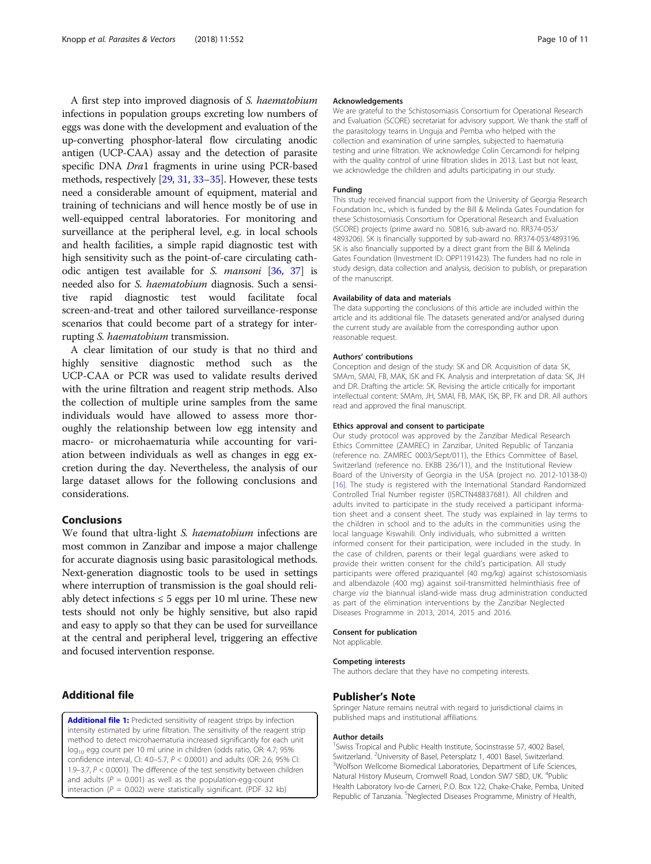<span id="page-9-0"></span>A first step into improved diagnosis of S. haematobium infections in population groups excreting low numbers of eggs was done with the development and evaluation of the up-converting phosphor-lateral flow circulating anodic antigen (UCP-CAA) assay and the detection of parasite specific DNA Dra1 fragments in urine using PCR-based methods, respectively [\[29,](#page-10-0) [31](#page-10-0), [33](#page-10-0)–[35\]](#page-10-0). However, these tests need a considerable amount of equipment, material and training of technicians and will hence mostly be of use in well-equipped central laboratories. For monitoring and surveillance at the peripheral level, e.g. in local schools and health facilities, a simple rapid diagnostic test with high sensitivity such as the point-of-care circulating cathodic antigen test available for S. mansoni [\[36,](#page-10-0) [37](#page-10-0)] is needed also for S. haematobium diagnosis. Such a sensitive rapid diagnostic test would facilitate focal screen-and-treat and other tailored surveillance-response scenarios that could become part of a strategy for interrupting S. haematobium transmission.

A clear limitation of our study is that no third and highly sensitive diagnostic method such as the UCP-CAA or PCR was used to validate results derived with the urine filtration and reagent strip methods. Also the collection of multiple urine samples from the same individuals would have allowed to assess more thoroughly the relationship between low egg intensity and macro- or microhaematuria while accounting for variation between individuals as well as changes in egg excretion during the day. Nevertheless, the analysis of our large dataset allows for the following conclusions and considerations.

# Conclusions

We found that ultra-light S. haematobium infections are most common in Zanzibar and impose a major challenge for accurate diagnosis using basic parasitological methods. Next-generation diagnostic tools to be used in settings where interruption of transmission is the goal should reliably detect infections  $\leq 5$  eggs per 10 ml urine. These new tests should not only be highly sensitive, but also rapid and easy to apply so that they can be used for surveillance at the central and peripheral level, triggering an effective and focused intervention response.

# Additional file

[Additional file 1:](https://doi.org/10.1186/s13071-018-3136-6) Predicted sensitivity of reagent strips by infection intensity estimated by urine filtration. The sensitivity of the reagent strip method to detect microhaematuria increased significantly for each unit log<sub>10</sub> egg count per 10 ml urine in children (odds ratio, OR: 4.7; 95% confidence interval, CI: 4.0–5.7, P < 0.0001) and adults (OR: 2.6; 95% CI: 1.9–3.7, P < 0.0001). The difference of the test sensitivity between children and adults ( $P = 0.001$ ) as well as the population-egg-count interaction ( $P = 0.002$ ) were statistically significant. (PDF 32 kb)

#### Acknowledgements

We are grateful to the Schistosomiasis Consortium for Operational Research and Evaluation (SCORE) secretariat for advisory support. We thank the staff of the parasitology teams in Unguja and Pemba who helped with the collection and examination of urine samples, subjected to haematuria testing and urine filtration. We acknowledge Colin Cercamondi for helping with the quality control of urine filtration slides in 2013. Last but not least, we acknowledge the children and adults participating in our study.

### Funding

This study received financial support from the University of Georgia Research Foundation Inc., which is funded by the Bill & Melinda Gates Foundation for these Schistosomiasis Consortium for Operational Research and Evaluation (SCORE) projects (prime award no. 50816, sub-award no. RR374-053/ 4893206). SK is financially supported by sub-award no. RR374-053/4893196. SK is also financially supported by a direct grant from the Bill & Melinda Gates Foundation (Investment ID: OPP1191423). The funders had no role in study design, data collection and analysis, decision to publish, or preparation of the manuscript.

### Availability of data and materials

The data supporting the conclusions of this article are included within the article and its additional file. The datasets generated and/or analysed during the current study are available from the corresponding author upon reasonable request.

### Authors' contributions

Conception and design of the study: SK and DR. Acquisition of data: SK, SMAm, SMAl, FB, MAK, ISK and FK. Analysis and interpretation of data: SK, JH and DR. Drafting the article: SK. Revising the article critically for important intellectual content: SMAm, JH, SMAl, FB, MAK, ISK, BP, FK and DR. All authors read and approved the final manuscript.

#### Ethics approval and consent to participate

Our study protocol was approved by the Zanzibar Medical Research Ethics Committee (ZAMREC) in Zanzibar, United Republic of Tanzania (reference no. ZAMREC 0003/Sept/011), the Ethics Committee of Basel, Switzerland (reference no. EKBB 236/11), and the Institutional Review Board of the University of Georgia in the USA (project no. 2012-10138-0) [[16](#page-10-0)]. The study is registered with the International Standard Randomized Controlled Trial Number register (ISRCTN48837681). All children and adults invited to participate in the study received a participant information sheet and a consent sheet. The study was explained in lay terms to the children in school and to the adults in the communities using the local language Kiswahili. Only individuals, who submitted a written informed consent for their participation, were included in the study. In the case of children, parents or their legal guardians were asked to provide their written consent for the child's participation. All study participants were offered praziquantel (40 mg/kg) against schistosomiasis and albendazole (400 mg) against soil-transmitted helminthiasis free of charge via the biannual island-wide mass drug administration conducted as part of the elimination interventions by the Zanzibar Neglected Diseases Programme in 2013, 2014, 2015 and 2016.

### Consent for publication

Not applicable.

#### Competing interests

The authors declare that they have no competing interests.

### Publisher's Note

Springer Nature remains neutral with regard to jurisdictional claims in published maps and institutional affiliations.

### Author details

<sup>1</sup> Swiss Tropical and Public Health Institute, Socinstrasse 57, 4002 Basel Switzerland. <sup>2</sup>University of Basel, Petersplatz 1, 4001 Basel, Switzerland.<br><sup>3</sup>Welfron Wellcome Riemedical Laboratories, Department of Life Scien Wolfson Wellcome Biomedical Laboratories, Department of Life Sciences, Natural History Museum, Cromwell Road, London SW7 5BD, UK. <sup>4</sup>Public Health Laboratory Ivo-de Carneri, P.O. Box 122, Chake-Chake, Pemba, United Republic of Tanzania. <sup>5</sup>Neglected Diseases Programme, Ministry of Health